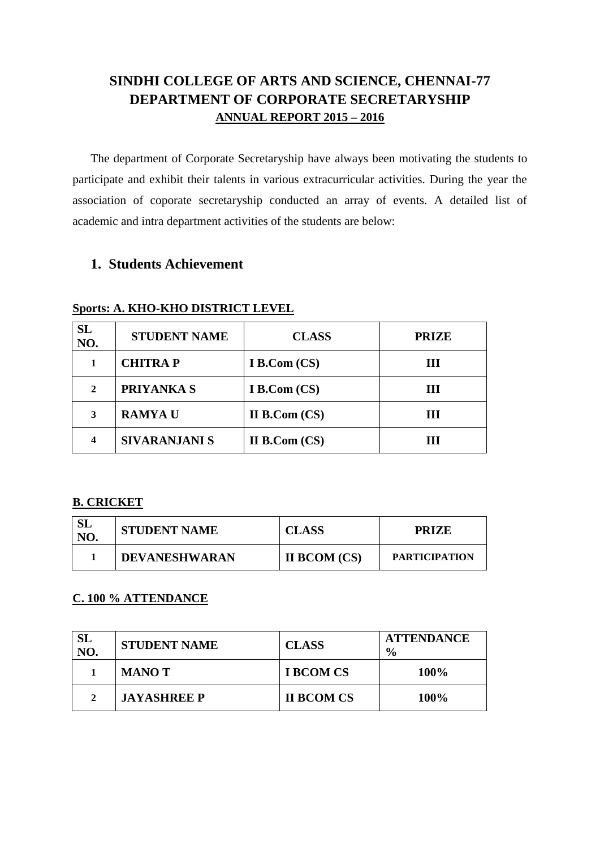# **SINDHI COLLEGE OF ARTS AND SCIENCE, CHENNAI-77 DEPARTMENT OF CORPORATE SECRETARYSHIP ANNUAL REPORT 2015 – 2016**

The department of Corporate Secretaryship have always been motivating the students to participate and exhibit their talents in various extracurricular activities. During the year the association of coporate secretaryship conducted an array of events. A detailed list of academic and intra department activities of the students are below:

# **1. Students Achievement**

| <b>SL</b><br>NO. | <b>STUDENT NAME</b>  | <b>CLASS</b>        | <b>PRIZE</b> |
|------------------|----------------------|---------------------|--------------|
|                  | <b>CHITRAP</b>       | <b>I B.Com (CS)</b> | Ш            |
| 2                | <b>PRIYANKA S</b>    | <b>I B.Com (CS)</b> | Ш            |
| 3                | <b>RAMYA U</b>       | II B. Com (CS)      |              |
| 4                | <b>SIVARANJANI S</b> | II B. Com (CS)      |              |

#### **Sports: A. KHO-KHO DISTRICT LEVEL**

### **B. CRICKET**

| NO. | <b>STUDENT NAME</b>  | <b>CLASS</b>        | <b>PRIZE</b>         |
|-----|----------------------|---------------------|----------------------|
|     | <b>DEVANESHWARAN</b> | <b>II BCOM (CS)</b> | <b>PARTICIPATION</b> |

### **C. 100 % ATTENDANCE**

| <b>SL</b><br>NO. | <b>STUDENT NAME</b> | <b>CLASS</b>      | <b>ATTENDANCE</b><br>$\frac{6}{6}$ |
|------------------|---------------------|-------------------|------------------------------------|
|                  | <b>MANOT</b>        | <b>I BCOM CS</b>  | 100%                               |
| $\gamma$         | <b>JAYASHREE P</b>  | <b>II BCOM CS</b> | <b>100%</b>                        |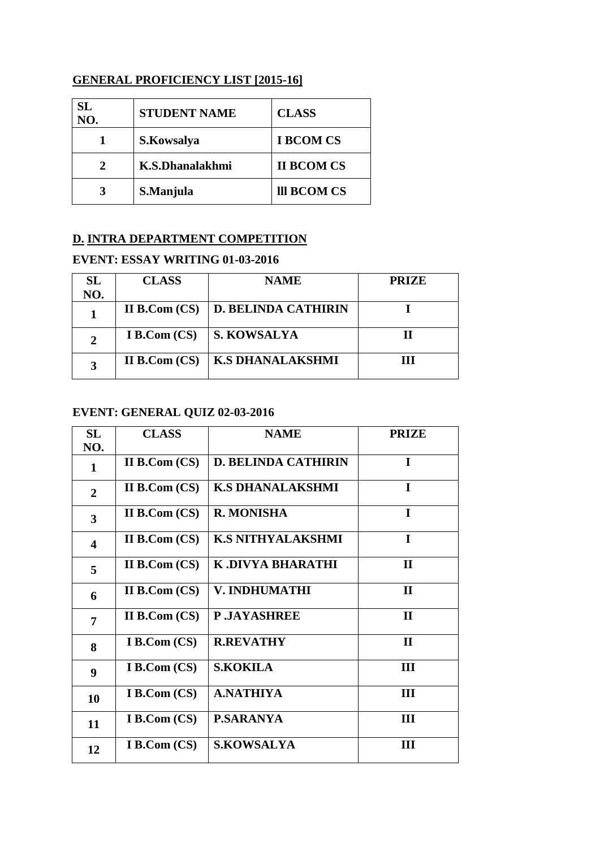### **GENERAL PROFICIENCY LIST [2015-16]**

| SL<br>NO. | <b>STUDENT NAME</b> | <b>CLASS</b>      |
|-----------|---------------------|-------------------|
|           | S.Kowsalya          | <b>I BCOM CS</b>  |
|           | K.S.Dhanalakhmi     | <b>II BCOM CS</b> |
|           | S.Manjula           | III BCOM CS       |

# **D. INTRA DEPARTMENT COMPETITION**

### **EVENT: ESSAY WRITING 01-03-2016**

| <b>SL</b> | <b>CLASS</b>        | <b>NAME</b>                | <b>PRIZE</b> |
|-----------|---------------------|----------------------------|--------------|
| NO.       |                     |                            |              |
|           | II B.Com $(CS)$     | <b>D. BELINDA CATHIRIN</b> |              |
| 2         | <b>I B.Com (CS)</b> | <b>S. KOWSALYA</b>         |              |
|           | II B.Com $(CS)$     | <b>K.S DHANALAKSHMI</b>    | ш            |

## **EVENT: GENERAL QUIZ 02-03-2016**

| SL                      | <b>CLASS</b>        | <b>NAME</b>                | <b>PRIZE</b> |
|-------------------------|---------------------|----------------------------|--------------|
| NO.                     |                     |                            |              |
| 1                       | II B. Com (CS)      | <b>D. BELINDA CATHIRIN</b> | I            |
| $\overline{2}$          | II B. Com (CS)      | <b>K.S DHANALAKSHMI</b>    | $\mathbf I$  |
| $\overline{\mathbf{3}}$ | II B. Com (CS)      | <b>R. MONISHA</b>          | I            |
| $\overline{\mathbf{4}}$ | II B. Com (CS)      | <b>K.S NITHYALAKSHMI</b>   | $\bf{I}$     |
| 5                       | II B.Com $(CS)$     | K .DIVYA BHARATHI          | $\mathbf{I}$ |
| 6                       | II B. Com (CS)      | V. INDHUMATHI              | $\mathbf{H}$ |
| 7                       | II B. Com (CS)      | <b>P.JAYASHREE</b>         | $\mathbf{I}$ |
| 8                       | <b>I B.Com (CS)</b> | <b>R.REVATHY</b>           | $\mathbf{H}$ |
| 9                       | <b>I B.Com (CS)</b> | <b>S.KOKILA</b>            | III          |
| 10                      | I B.Com (CS)        | <b>A.NATHIYA</b>           | III          |
| 11                      | I B.Com (CS)        | <b>P.SARANYA</b>           | III          |
| 12                      | I B. Com (CS)       | <b>S.KOWSALYA</b>          | Ш            |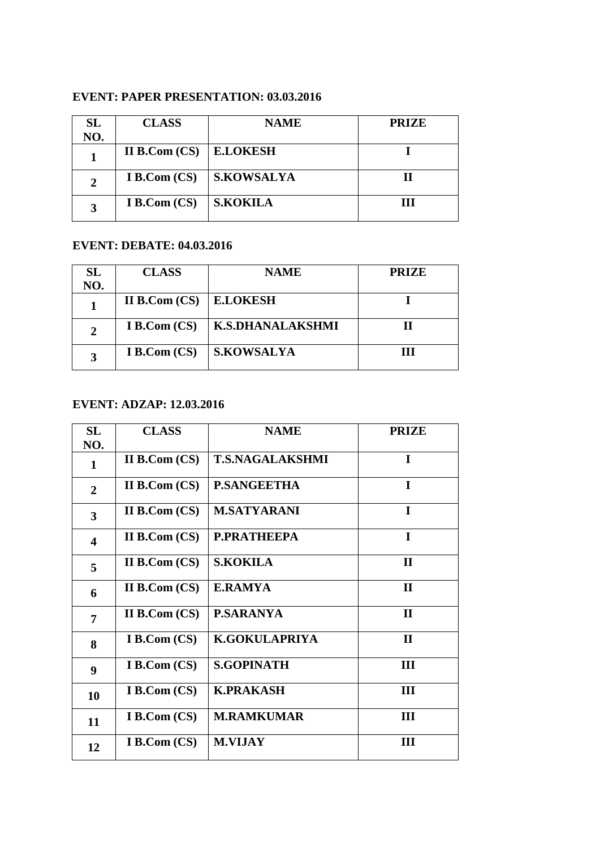# **EVENT: PAPER PRESENTATION: 03.03.2016**

| SL  | <b>CLASS</b>        | <b>NAME</b>     | <b>PRIZE</b> |
|-----|---------------------|-----------------|--------------|
| NO. |                     |                 |              |
|     | II B. Com (CS)      | <b>E.LOKESH</b> |              |
|     | I B. Com (CS)       | S.KOWSALYA      |              |
|     | <b>I B.Com (CS)</b> | S.KOKILA        | ш            |

## **EVENT: DEBATE: 04.03.2016**

| SL  | <b>CLASS</b>        | <b>NAME</b>             | <b>PRIZE</b> |
|-----|---------------------|-------------------------|--------------|
| NO. |                     |                         |              |
|     | II B.Com $(CS)$     | <b>E.LOKESH</b>         |              |
| 2   | I B.Com (CS)        | <b>K.S.DHANALAKSHMI</b> |              |
| 3   | <b>I B.Com (CS)</b> | <b>S.KOWSALYA</b>       | ш            |

# **EVENT: ADZAP: 12.03.2016**

| <b>SL</b>               | <b>CLASS</b>        | <b>NAME</b>            | <b>PRIZE</b> |
|-------------------------|---------------------|------------------------|--------------|
| NO.                     |                     |                        |              |
| 1                       | II B.Com $(CS)$     | <b>T.S.NAGALAKSHMI</b> | $\mathbf I$  |
| $\overline{2}$          | II B.Com $(CS)$     | <b>P.SANGEETHA</b>     | $\mathbf I$  |
| $\overline{\mathbf{3}}$ | II B. Com (CS)      | <b>M.SATYARANI</b>     | $\bf{I}$     |
| $\overline{\mathbf{4}}$ | II B.Com $(CS)$     | <b>P.PRATHEEPA</b>     | $\bf{I}$     |
| 5                       | II B.Com $(CS)$     | <b>S.KOKILA</b>        | $\mathbf{H}$ |
| 6                       | II B. Com (CS)      | <b>E.RAMYA</b>         | $\mathbf{H}$ |
| 7                       | II B. Com (CS)      | <b>P.SARANYA</b>       | $\mathbf{I}$ |
| 8                       | <b>I B.Com (CS)</b> | <b>K.GOKULAPRIYA</b>   | $\mathbf{I}$ |
| $\boldsymbol{9}$        | <b>I B.Com (CS)</b> | <b>S.GOPINATH</b>      | III          |
| 10                      | <b>I B.Com (CS)</b> | <b>K.PRAKASH</b>       | Ш            |
| 11                      | <b>I B.Com (CS)</b> | <b>M.RAMKUMAR</b>      | Ш            |
| 12                      | I B. Com (CS)       | <b>M.VIJAY</b>         | Ш            |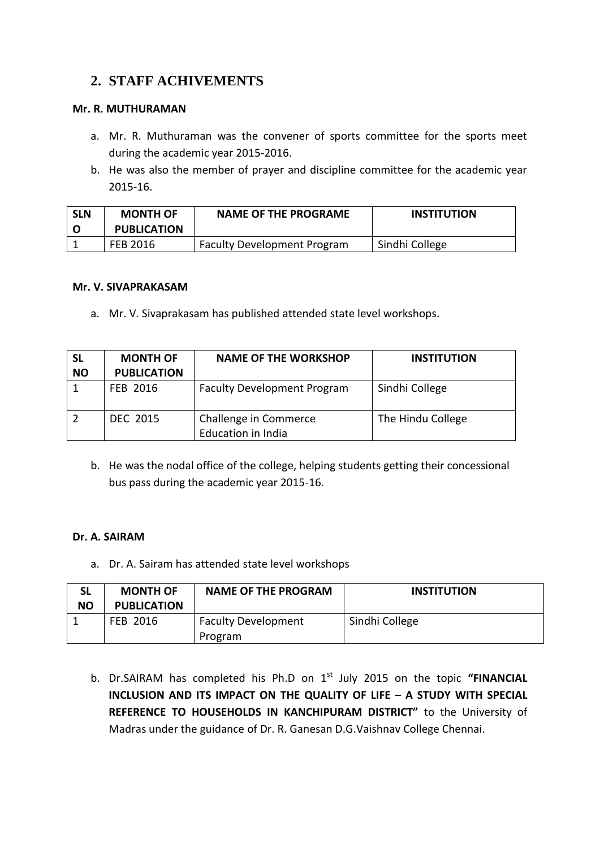# **2. STAFF ACHIVEMENTS**

### **Mr. R. MUTHURAMAN**

- a. Mr. R. Muthuraman was the convener of sports committee for the sports meet during the academic year 2015-2016.
- b. He was also the member of prayer and discipline committee for the academic year 2015-16.

| <b>SLN</b> | <b>MONTH OF</b>    | <b>NAME OF THE PROGRAME</b>        | <b>INSTITUTION</b> |
|------------|--------------------|------------------------------------|--------------------|
|            | <b>PUBLICATION</b> |                                    |                    |
|            | FEB 2016           | <b>Faculty Development Program</b> | Sindhi College     |

#### **Mr. V. SIVAPRAKASAM**

a. Mr. V. Sivaprakasam has published attended state level workshops.

| <b>SL</b><br><b>NO</b> | <b>MONTH OF</b><br><b>PUBLICATION</b> | <b>NAME OF THE WORKSHOP</b>                        | <b>INSTITUTION</b> |
|------------------------|---------------------------------------|----------------------------------------------------|--------------------|
|                        | <b>FEB 2016</b>                       | <b>Faculty Development Program</b>                 | Sindhi College     |
|                        | <b>DEC 2015</b>                       | Challenge in Commerce<br><b>Education in India</b> | The Hindu College  |

b. He was the nodal office of the college, helping students getting their concessional bus pass during the academic year 2015-16.

### **Dr. A. SAIRAM**

a. Dr. A. Sairam has attended state level workshops

| <b>NO</b> | <b>MONTH OF</b><br><b>PUBLICATION</b> | <b>NAME OF THE PROGRAM</b>            | <b>INSTITUTION</b> |
|-----------|---------------------------------------|---------------------------------------|--------------------|
|           | FEB 2016                              | <b>Faculty Development</b><br>Program | Sindhi College     |

b. Dr.SAIRAM has completed his Ph.D on 1<sup>st</sup> July 2015 on the topic "FINANCIAL **INCLUSION AND ITS IMPACT ON THE QUALITY OF LIFE – A STUDY WITH SPECIAL REFERENCE TO HOUSEHOLDS IN KANCHIPURAM DISTRICT"** to the University of Madras under the guidance of Dr. R. Ganesan D.G.Vaishnav College Chennai.